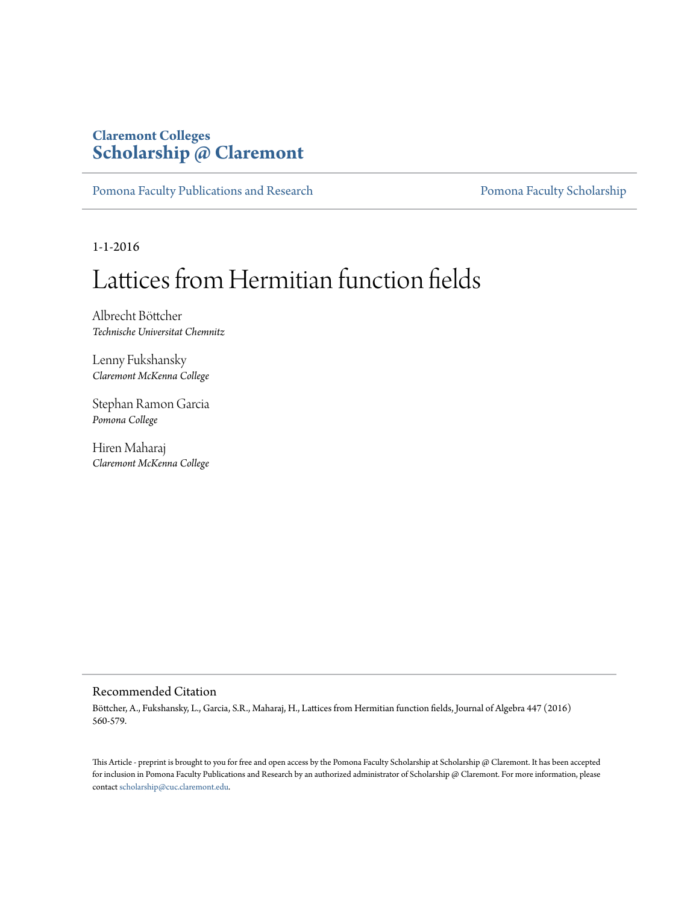# **Claremont Colleges [Scholarship @ Claremont](http://scholarship.claremont.edu)**

[Pomona Faculty Publications and Research](http://scholarship.claremont.edu/pomona_fac_pub) [Pomona Faculty Scholarship](http://scholarship.claremont.edu/pomona_faculty)

1-1-2016

# Lattices from Hermitian function fields

Albrecht Böttcher *Technische Universitat Chemnitz*

Lenny Fukshansky *Claremont McKenna College*

Stephan Ramon Garcia *Pomona College*

Hiren Maharaj *Claremont McKenna College*

# Recommended Citation

Böttcher, A., Fukshansky, L., Garcia, S.R., Maharaj, H., Lattices from Hermitian function fields, Journal of Algebra 447 (2016) 560-579.

This Article - preprint is brought to you for free and open access by the Pomona Faculty Scholarship at Scholarship @ Claremont. It has been accepted for inclusion in Pomona Faculty Publications and Research by an authorized administrator of Scholarship @ Claremont. For more information, please contact [scholarship@cuc.claremont.edu](mailto:scholarship@cuc.claremont.edu).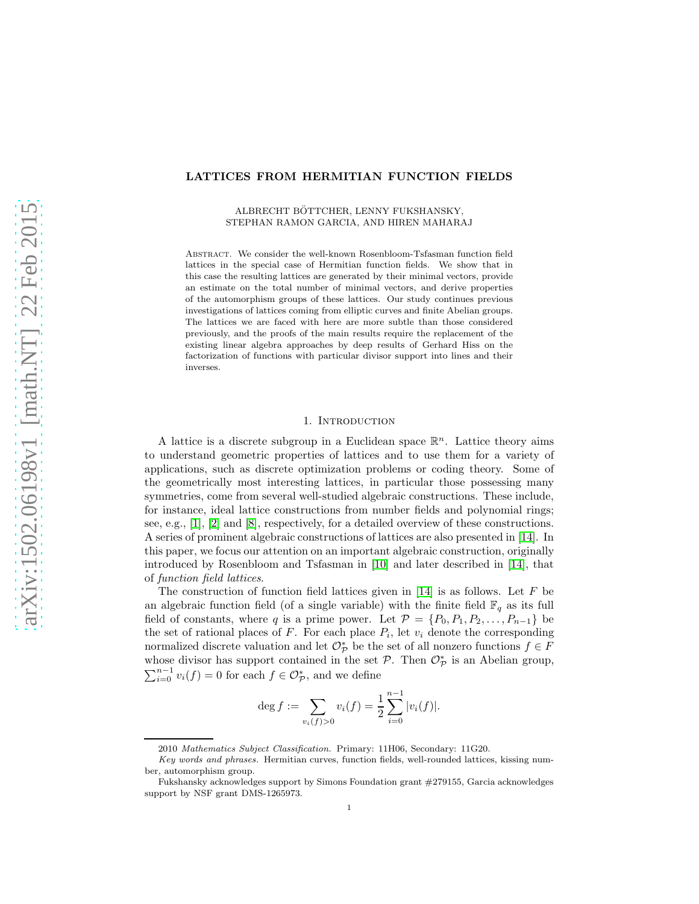# LATTICES FROM HERMITIAN FUNCTION FIELDS

ALBRECHT BÖTTCHER, LENNY FUKSHANSKY, STEPHAN RAMON GARCIA, AND HIREN MAHARAJ

Abstract. We consider the well-known Rosenbloom-Tsfasman function field lattices in the special case of Hermitian function fields. We show that in this case the resulting lattices are generated by their minimal vectors, provide an estimate on the total number of minimal vectors, and derive properties of the automorphism groups of these lattices. Our study continues previous investigations of lattices coming from elliptic curves and finite Abelian groups. The lattices we are faced with here are more subtle than those considered previously, and the proofs of the main results require the replacement of the existing linear algebra approaches by deep results of Gerhard Hiss on the factorization of functions with particular divisor support into lines and their inverses.

#### 1. INTRODUCTION

<span id="page-1-0"></span>A lattice is a discrete subgroup in a Euclidean space  $\mathbb{R}^n$ . Lattice theory aims to understand geometric properties of lattices and to use them for a variety of applications, such as discrete optimization problems or coding theory. Some of the geometrically most interesting lattices, in particular those possessing many symmetries, come from several well-studied algebraic constructions. These include, for instance, ideal lattice constructions from number fields and polynomial rings; see, e.g.,  $[1], [2]$  $[1], [2]$  and  $[8]$ , respectively, for a detailed overview of these constructions. A series of prominent algebraic constructions of lattices are also presented in [\[14\]](#page-15-3). In this paper, we focus our attention on an important algebraic construction, originally introduced by Rosenbloom and Tsfasman in [\[10\]](#page-15-4) and later described in [\[14\]](#page-15-3), that of *function field lattices*.

The construction of function field lattices given in  $[14]$  is as follows. Let F be an algebraic function field (of a single variable) with the finite field  $\mathbb{F}_q$  as its full field of constants, where q is a prime power. Let  $\mathcal{P} = \{P_0, P_1, P_2, \ldots, P_{n-1}\}\$  be the set of rational places of  $F$ . For each place  $P_i$ , let  $v_i$  denote the corresponding normalized discrete valuation and let  $\mathcal{O}^*_{\mathcal{P}}$  be the set of all nonzero functions  $f \in F$ whose divisor has support contained in the set  $P$ . Then  $\mathcal{O}_{\mathcal{P}}^*$  is an Abelian group,  $\sum_{i=0}^{n-1} v_i(f) = 0$  for each  $f \in \mathcal{O}_{\mathcal{P}}^*$ , and we define

$$
\deg f := \sum_{v_i(f) > 0} v_i(f) = \frac{1}{2} \sum_{i=0}^{n-1} |v_i(f)|.
$$

<sup>2010</sup> *Mathematics Subject Classification.* Primary: 11H06, Secondary: 11G20.

*Key words and phrases.* Hermitian curves, function fields, well-rounded lattices, kissing number, automorphism group.

Fukshansky acknowledges support by Simons Foundation grant #279155, Garcia acknowledges support by NSF grant DMS-1265973.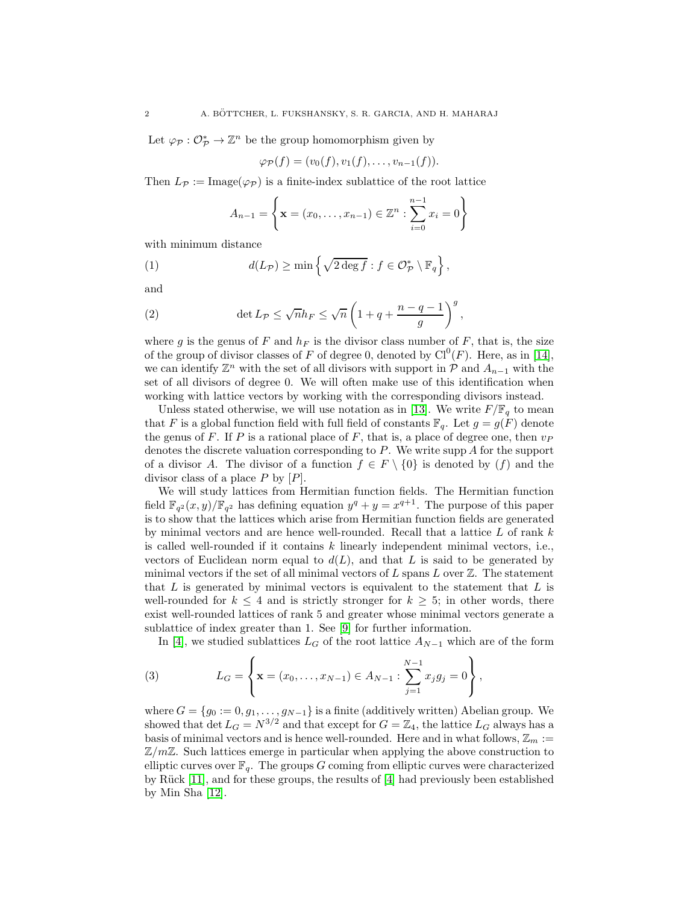Let  $\varphi_{\mathcal{P}}: \mathcal{O}_{\mathcal{P}}^* \to \mathbb{Z}^n$  be the group homomorphism given by

$$
\varphi_{\mathcal{P}}(f)=(v_0(f),v_1(f),\ldots,v_{n-1}(f)).
$$

Then  $L_{\mathcal{P}} := \text{Image}(\varphi_{\mathcal{P}})$  is a finite-index sublattice of the root lattice

<span id="page-2-1"></span>
$$
A_{n-1} = \left\{ \mathbf{x} = (x_0, \dots, x_{n-1}) \in \mathbb{Z}^n : \sum_{i=0}^{n-1} x_i = 0 \right\}
$$

with minimum distance

(1) 
$$
d(L_{\mathcal{P}}) \geq \min \left\{ \sqrt{2 \deg f} : f \in \mathcal{O}_{\mathcal{P}}^* \setminus \mathbb{F}_q \right\},\
$$

and

(2) 
$$
\det L_{\mathcal{P}} \leq \sqrt{n} h_F \leq \sqrt{n} \left( 1 + q + \frac{n - q - 1}{g} \right)^g,
$$

where g is the genus of F and  $h_F$  is the divisor class number of F, that is, the size of the group of divisor classes of F of degree 0, denoted by  $Cl<sup>0</sup>(F)$ . Here, as in [\[14\]](#page-15-3), we can identify  $\mathbb{Z}^n$  with the set of all divisors with support in  $\mathcal P$  and  $A_{n-1}$  with the set of all divisors of degree 0. We will often make use of this identification when working with lattice vectors by working with the corresponding divisors instead.

Unless stated otherwise, we will use notation as in [\[13\]](#page-15-5). We write  $F/\mathbb{F}_q$  to mean that F is a global function field with full field of constants  $\mathbb{F}_q$ . Let  $g = g(F)$  denote the genus of F. If P is a rational place of F, that is, a place of degree one, then  $v_P$ denotes the discrete valuation corresponding to P. We write supp A for the support of a divisor A. The divisor of a function  $f \in F \setminus \{0\}$  is denoted by  $(f)$  and the divisor class of a place  $P$  by  $[P]$ .

We will study lattices from Hermitian function fields. The Hermitian function field  $\mathbb{F}_{q^2}(x,y)/\mathbb{F}_{q^2}$  has defining equation  $y^q + y = x^{q+1}$ . The purpose of this paper is to show that the lattices which arise from Hermitian function fields are generated by minimal vectors and are hence well-rounded. Recall that a lattice  $L$  of rank  $k$ is called well-rounded if it contains k linearly independent minimal vectors, i.e., vectors of Euclidean norm equal to  $d(L)$ , and that L is said to be generated by minimal vectors if the set of all minimal vectors of  $L$  spans  $L$  over  $\mathbb{Z}$ . The statement that  $L$  is generated by minimal vectors is equivalent to the statement that  $L$  is well-rounded for  $k \leq 4$  and is strictly stronger for  $k \geq 5$ ; in other words, there exist well-rounded lattices of rank 5 and greater whose minimal vectors generate a sublattice of index greater than 1. See [\[9\]](#page-15-6) for further information.

<span id="page-2-0"></span>In [\[4\]](#page-15-7), we studied sublattices  $L_G$  of the root lattice  $A_{N-1}$  which are of the form

(3) 
$$
L_G = \left\{ \mathbf{x} = (x_0, \dots, x_{N-1}) \in A_{N-1} : \sum_{j=1}^{N-1} x_j g_j = 0 \right\},
$$

where  $G = \{g_0 := 0, g_1, \ldots, g_{N-1}\}\$ is a finite (additively written) Abelian group. We showed that det  $L_G = N^{3/2}$  and that except for  $G = \mathbb{Z}_4$ , the lattice  $L_G$  always has a basis of minimal vectors and is hence well-rounded. Here and in what follows,  $\mathbb{Z}_m :=$  $\mathbb{Z}/m\mathbb{Z}$ . Such lattices emerge in particular when applying the above construction to elliptic curves over  $\mathbb{F}_q$ . The groups G coming from elliptic curves were characterized by Rück  $[11]$ , and for these groups, the results of  $[4]$  had previously been established by Min Sha [\[12\]](#page-15-9).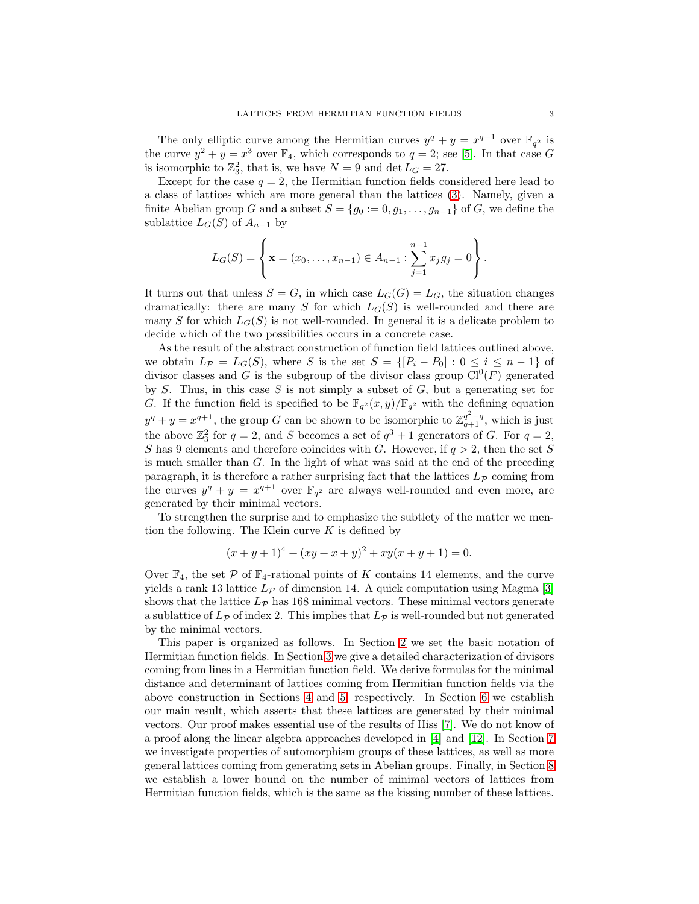The only elliptic curve among the Hermitian curves  $y^{q} + y = x^{q+1}$  over  $\mathbb{F}_{q^2}$  is the curve  $y^2 + y = x^3$  over  $\mathbb{F}_4$ , which corresponds to  $q = 2$ ; see [\[5\]](#page-15-10). In that case G is isomorphic to  $\mathbb{Z}_3^2$ , that is, we have  $N = 9$  and  $\det L_G = 27$ .

Except for the case  $q = 2$ , the Hermitian function fields considered here lead to a class of lattices which are more general than the lattices [\(3\)](#page-2-0). Namely, given a finite Abelian group G and a subset  $S = \{g_0 := 0, g_1, \ldots, g_{n-1}\}\$  of G, we define the sublattice  $L_G(S)$  of  $A_{n-1}$  by

$$
L_G(S) = \left\{ \mathbf{x} = (x_0, \dots, x_{n-1}) \in A_{n-1} : \sum_{j=1}^{n-1} x_j g_j = 0 \right\}.
$$

It turns out that unless  $S = G$ , in which case  $L_G(G) = L_G$ , the situation changes dramatically: there are many S for which  $L_G(S)$  is well-rounded and there are many S for which  $L_G(S)$  is not well-rounded. In general it is a delicate problem to decide which of the two possibilities occurs in a concrete case.

As the result of the abstract construction of function field lattices outlined above, we obtain  $L_{\mathcal{P}} = L_G(S)$ , where S is the set  $S = \{[P_i - P_0] : 0 \le i \le n-1\}$  of divisor classes and G is the subgroup of the divisor class group  $Cl^{0}(F)$  generated by  $S$ . Thus, in this case  $S$  is not simply a subset of  $G$ , but a generating set for G. If the function field is specified to be  $\mathbb{F}_{q^2}(x,y)/\mathbb{F}_{q^2}$  with the defining equation  $y^{q} + y = x^{q+1}$ , the group G can be shown to be isomorphic to  $\mathbb{Z}_{q+1}^{q^{2}-q}$ , which is just the above  $\mathbb{Z}_3^2$  for  $q=2$ , and S becomes a set of  $q^3+1$  generators of G. For  $q=2$ , S has 9 elements and therefore coincides with G. However, if  $q > 2$ , then the set S is much smaller than G. In the light of what was said at the end of the preceding paragraph, it is therefore a rather surprising fact that the lattices  $L_{\mathcal{P}}$  coming from the curves  $y^q + y = x^{q+1}$  over  $\mathbb{F}_{q^2}$  are always well-rounded and even more, are generated by their minimal vectors.

To strengthen the surprise and to emphasize the subtlety of the matter we mention the following. The Klein curve  $K$  is defined by

$$
(x+y+1)4 + (xy+x+y)2 + xy(x+y+1) = 0.
$$

Over  $\mathbb{F}_4$ , the set P of  $\mathbb{F}_4$ -rational points of K contains 14 elements, and the curve yields a rank 13 lattice  $L_p$  of dimension 14. A quick computation using Magma [\[3\]](#page-15-11) shows that the lattice  $L_{\mathcal{P}}$  has 168 minimal vectors. These minimal vectors generate a sublattice of  $L_p$  of index 2. This implies that  $L_p$  is well-rounded but not generated by the minimal vectors.

This paper is organized as follows. In Section [2](#page-4-0) we set the basic notation of Hermitian function fields. In Section [3](#page-4-1) we give a detailed characterization of divisors coming from lines in a Hermitian function field. We derive formulas for the minimal distance and determinant of lattices coming from Hermitian function fields via the above construction in Sections [4](#page-5-0) and [5,](#page-6-0) respectively. In Section [6](#page-6-1) we establish our main result, which asserts that these lattices are generated by their minimal vectors. Our proof makes essential use of the results of Hiss [\[7\]](#page-15-12). We do not know of a proof along the linear algebra approaches developed in [\[4\]](#page-15-7) and [\[12\]](#page-15-9). In Section [7](#page-10-0) we investigate properties of automorphism groups of these lattices, as well as more general lattices coming from generating sets in Abelian groups. Finally, in Section [8](#page-14-0) we establish a lower bound on the number of minimal vectors of lattices from Hermitian function fields, which is the same as the kissing number of these lattices.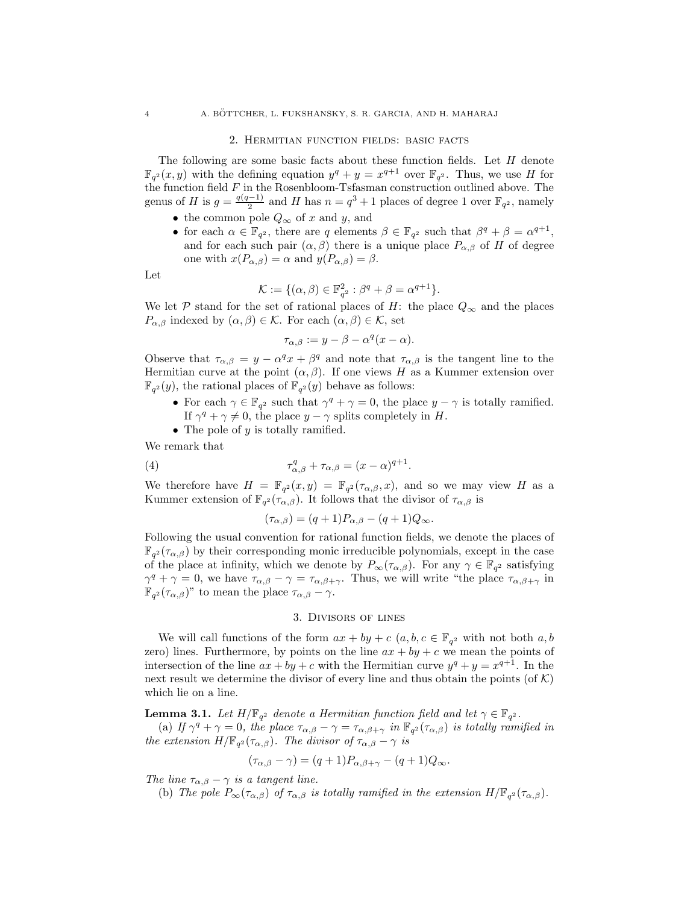#### <span id="page-4-0"></span>4 A. BOTTCHER, L. FUKSHANSKY, S. R. GARCIA, AND H. MAHARAJ ¨

#### 2. Hermitian function fields: basic facts

The following are some basic facts about these function fields. Let  $H$  denote  $\mathbb{F}_{q^2}(x, y)$  with the defining equation  $y^q + y = x^{q+1}$  over  $\mathbb{F}_{q^2}$ . Thus, we use H for the function field  $F$  in the Rosenbloom-Tsfasman construction outlined above. The genus of H is  $g = \frac{q(q-1)}{2}$  $\frac{(-1)}{2}$  and H has  $n = q^3 + 1$  places of degree 1 over  $\mathbb{F}_{q^2}$ , namely

- the common pole  $Q_{\infty}$  of x and y, and
- for each  $\alpha \in \mathbb{F}_{q^2}$ , there are q elements  $\beta \in \mathbb{F}_{q^2}$  such that  $\beta^q + \beta = \alpha^{q+1}$ , and for each such pair  $(\alpha, \beta)$  there is a unique place  $P_{\alpha,\beta}$  of H of degree one with  $x(P_{\alpha,\beta}) = \alpha$  and  $y(P_{\alpha,\beta}) = \beta$ .

Let

$$
\mathcal{K} := \{(\alpha, \beta) \in \mathbb{F}_{q^2}^2 : \beta^q + \beta = \alpha^{q+1}\}.
$$

We let P stand for the set of rational places of H: the place  $Q_{\infty}$  and the places  $P_{\alpha,\beta}$  indexed by  $(\alpha,\beta) \in \mathcal{K}$ . For each  $(\alpha,\beta) \in \mathcal{K}$ , set

$$
\tau_{\alpha,\beta} := y - \beta - \alpha^q (x - \alpha).
$$

Observe that  $\tau_{\alpha,\beta} = y - \alpha^q x + \beta^q$  and note that  $\tau_{\alpha,\beta}$  is the tangent line to the Hermitian curve at the point  $(\alpha, \beta)$ . If one views H as a Kummer extension over  $\mathbb{F}_{q^2}(y)$ , the rational places of  $\mathbb{F}_{q^2}(y)$  behave as follows:

- For each  $\gamma \in \mathbb{F}_{q^2}$  such that  $\gamma^q + \gamma = 0$ , the place  $y \gamma$  is totally ramified. If  $\gamma^q + \gamma \neq 0$ , the place  $y - \gamma$  splits completely in H.
- The pole of  $y$  is totally ramified.

We remark that

(4) 
$$
\tau_{\alpha,\beta}^q + \tau_{\alpha,\beta} = (x - \alpha)^{q+1}.
$$

We therefore have  $H = \mathbb{F}_{q^2}(x, y) = \mathbb{F}_{q^2}(\tau_{\alpha, \beta}, x)$ , and so we may view H as a Kummer extension of  $\mathbb{F}_{q^2}(\tau_{\alpha,\beta})$ . It follows that the divisor of  $\tau_{\alpha,\beta}$  is

$$
(\tau_{\alpha,\beta}) = (q+1)P_{\alpha,\beta} - (q+1)Q_{\infty}.
$$

Following the usual convention for rational function fields, we denote the places of  $\mathbb{F}_{q^2}(\tau_{\alpha,\beta})$  by their corresponding monic irreducible polynomials, except in the case of the place at infinity, which we denote by  $P_{\infty}(\tau_{\alpha,\beta})$ . For any  $\gamma \in \mathbb{F}_{q^2}$  satisfying  $\gamma^q + \gamma = 0$ , we have  $\tau_{\alpha,\beta} - \gamma = \tau_{\alpha,\beta+\gamma}$ . Thus, we will write "the place  $\tau_{\alpha,\beta+\gamma}$  in  $\mathbb{F}_{q^2}(\tau_{\alpha,\beta})$ " to mean the place  $\tau_{\alpha,\beta} - \gamma$ .

#### 3. Divisors of lines

<span id="page-4-1"></span>We will call functions of the form  $ax + by + c$   $(a, b, c \in \mathbb{F}_{q^2})$  with not both  $a, b$ zero) lines. Furthermore, by points on the line  $ax + by + c$  we mean the points of intersection of the line  $ax + by + c$  with the Hermitian curve  $y^q + y = x^{q+1}$ . In the next result we determine the divisor of every line and thus obtain the points (of  $K$ ) which lie on a line.

<span id="page-4-2"></span>**Lemma 3.1.** Let  $H/\mathbb{F}_{q^2}$  denote a Hermitian function field and let  $\gamma \in \mathbb{F}_{q^2}$ .

(a) If  $\gamma^q + \gamma = 0$ , the place  $\tau_{\alpha,\beta} - \gamma = \tau_{\alpha,\beta+\gamma}$  in  $\mathbb{F}_{q^2}(\tau_{\alpha,\beta})$  is totally ramified in *the extension*  $H/\mathbb{F}_{q^2}(\tau_{\alpha,\beta})$ *. The divisor of*  $\tau_{\alpha,\beta} - \gamma$  *is* 

$$
(\tau_{\alpha,\beta} - \gamma) = (q+1)P_{\alpha,\beta+\gamma} - (q+1)Q_{\infty}.
$$

*The line*  $\tau_{\alpha,\beta} - \gamma$  *is a tangent line.* 

(b) The pole  $P_{\infty}(\tau_{\alpha,\beta})$  of  $\tau_{\alpha,\beta}$  is totally ramified in the extension  $H/\mathbb{F}_{q^2}(\tau_{\alpha,\beta})$ .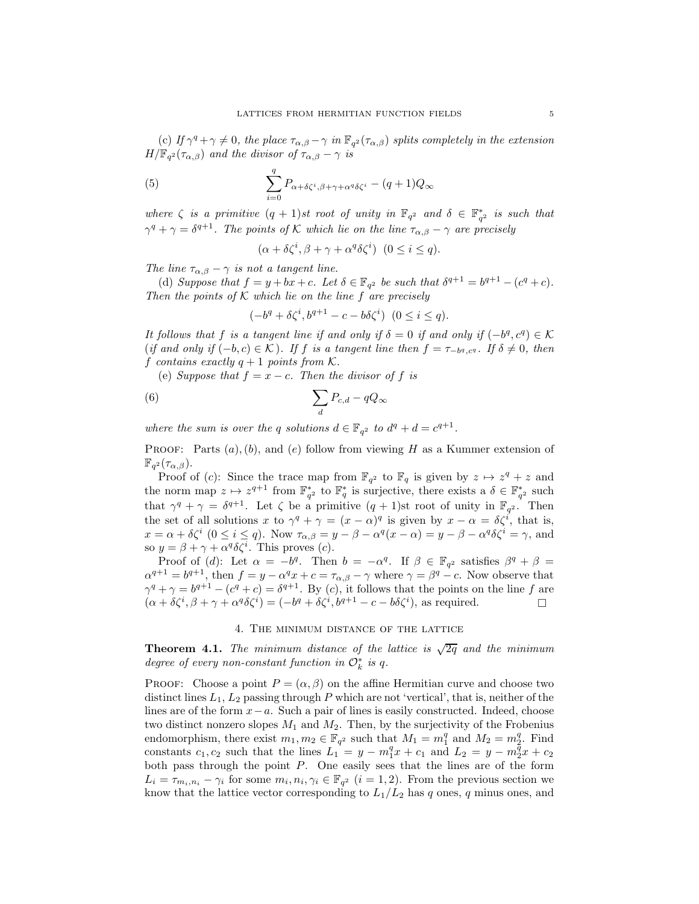(c) If  $\gamma^q + \gamma \neq 0$ , the place  $\tau_{\alpha,\beta} - \gamma$  in  $\mathbb{F}_{q^2}(\tau_{\alpha,\beta})$  splits completely in the extension  $H/\mathbb{F}_{q^2}(\tau_{\alpha,\beta})$  and the divisor of  $\tau_{\alpha,\beta} - \gamma$  is

(5) 
$$
\sum_{i=0}^{q} P_{\alpha+\delta\zeta^{i},\beta+\gamma+\alpha^{q}\delta\zeta^{i}} - (q+1)Q_{\infty}
$$

*where*  $\zeta$  *is a primitive*  $(q + 1)$ *st root of unity in*  $\mathbb{F}_{q^2}$  *and*  $\delta \in \mathbb{F}_{q^2}^*$  *is such that*  $\gamma^q + \gamma = \delta^{q+1}$ . The points of K which lie on the line  $\tau_{\alpha,\beta} - \gamma$  are precisely

$$
(\alpha + \delta \zeta^i, \beta + \gamma + \alpha^q \delta \zeta^i) \ (0 \le i \le q).
$$

*The line*  $\tau_{\alpha,\beta} - \gamma$  *is not a tangent line.* 

(d) Suppose that  $f = y + bx + c$ . Let  $\delta \in \mathbb{F}_{q^2}$  be such that  $\delta^{q+1} = b^{q+1} - (c^q + c)$ . *Then the points of* K *which lie on the line* f *are precisely*

$$
(-b^q + \delta\zeta^i, b^{q+1} - c - b\delta\zeta^i) \ \ (0 \le i \le q).
$$

*It follows that* f *is a tangent line if and only if*  $\delta = 0$  *if and only if*  $(-b^q, c^q) \in \mathcal{K}$  $(if \text{ and } \text{ only } if (-b, c) \in \mathcal{K})$ . If  $f$  is a tangent line then  $f = \tau_{-b^q, c^q}$ . If  $\delta \neq 0$ , then f *contains* exactly  $q + 1$  *points from*  $\mathcal{K}$ *.* 

(e) *Suppose that*  $f = x - c$ *. Then the divisor of* f *is* 

$$
(6) \qquad \qquad \sum_{d} P_{c,d} - qQ_{\infty}
$$

*where the sum is over the* q *solutions*  $d \in \mathbb{F}_{q^2}$  to  $d^q + d = c^{q+1}$ .

**PROOF:** Parts  $(a)$ ,  $(b)$ , and  $(e)$  follow from viewing H as a Kummer extension of  $\mathbb{F}_{q^2}(\tau_{\alpha,\beta}).$ 

Proof of (c): Since the trace map from  $\mathbb{F}_{q^2}$  to  $\mathbb{F}_q$  is given by  $z \mapsto z^q + z$  and the norm map  $z \mapsto z^{q+1}$  from  $\mathbb{F}_{q^2}^*$  to  $\mathbb{F}_q^*$  is surjective, there exists a  $\delta \in \mathbb{F}_{q^2}^*$  such that  $\gamma^q + \gamma = \delta^{q+1}$ . Let  $\zeta$  be a primitive  $(q+1)$ st root of unity in  $\mathbb{F}_{q^2}$ . Then the set of all solutions x to  $\gamma^q + \gamma = (x - \alpha)^q$  is given by  $x - \alpha = \delta \zeta^i$ , that is,  $x = \alpha + \delta \zeta^i \ (0 \le i \le q)$ . Now  $\tau_{\alpha,\beta} = y - \beta - \alpha^q (x - \alpha) = y - \beta - \alpha^q \delta \zeta^i = \gamma$ , and so  $y = \beta + \gamma + \alpha^q \delta \zeta^i$ . This proves (*c*).

Proof of (d): Let  $\alpha = -b^q$ . Then  $b = -\alpha^q$ . If  $\beta \in \mathbb{F}_{q^2}$  satisfies  $\beta^q + \beta =$  $\alpha^{q+1} = b^{q+1}$ , then  $f = y - \alpha^q x + c = \tau_{\alpha,\beta} - \gamma$  where  $\gamma = \beta^q - c$ . Now observe that  $\gamma^q + \gamma = b^{q+1} - (c^q + c) = \delta^{q+1}$ . By (c), it follows that the points on the line f are  $(\alpha + \delta \zeta^i, \beta + \gamma + \alpha^q \delta \zeta^i) = (-b^q + \delta \zeta^i, b^{q+1} - c - b \delta \zeta^i)$ , as required.

#### 4. The minimum distance of the lattice

<span id="page-5-1"></span><span id="page-5-0"></span>**Theorem 4.1.** The minimum distance of the lattice is  $\sqrt{2q}$  and the minimum *degree of every non-constant function in*  $\mathcal{O}_k^*$  *is q.* 

PROOF: Choose a point  $P = (\alpha, \beta)$  on the affine Hermitian curve and choose two distinct lines  $L_1$ ,  $L_2$  passing through P which are not 'vertical', that is, neither of the lines are of the form x−a. Such a pair of lines is easily constructed. Indeed, choose two distinct nonzero slopes  $M_1$  and  $M_2$ . Then, by the surjectivity of the Frobenius endomorphism, there exist  $m_1, m_2 \in \mathbb{F}_{q^2}$  such that  $M_1 = m_1^q$  and  $M_2 = m_2^q$ . Find constants  $c_1, c_2$  such that the lines  $L_1 = y - m_1^q x + c_1$  and  $L_2 = y - m_2^q x + c_2$ both pass through the point  $P$ . One easily sees that the lines are of the form  $L_i = \tau_{m_i, n_i} - \gamma_i$  for some  $m_i, n_i, \gamma_i \in \mathbb{F}_{q^2}$   $(i = 1, 2)$ . From the previous section we know that the lattice vector corresponding to  $L_1/L_2$  has q ones, q minus ones, and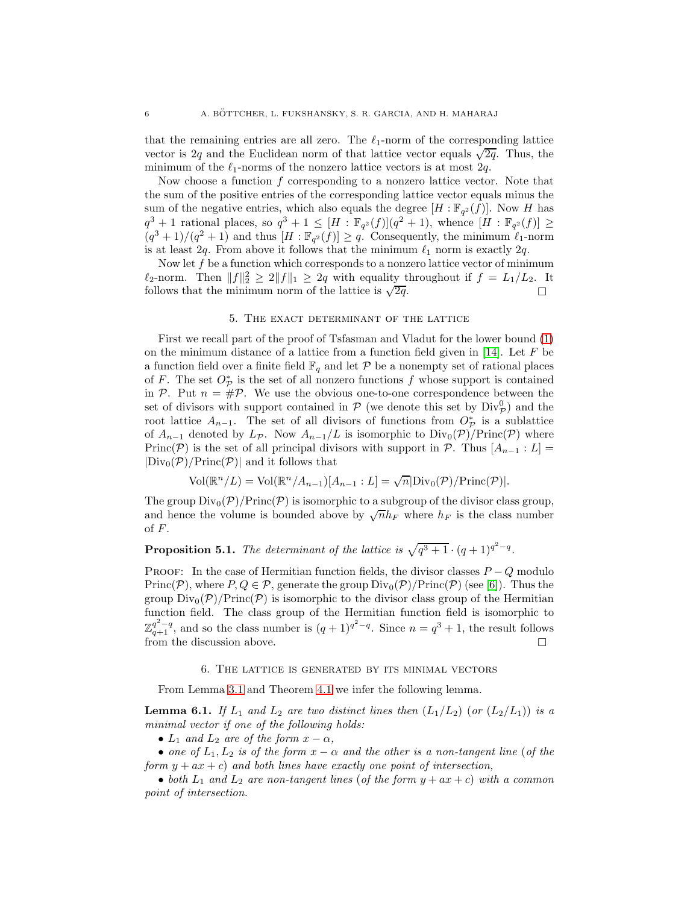that the remaining entries are all zero. The  $\ell_1$ -norm of the corresponding lattice vector is 2q and the Euclidean norm of that lattice vector equals  $\sqrt{2q}$ . Thus, the minimum of the  $\ell_1$ -norms of the nonzero lattice vectors is at most  $2q$ .

Now choose a function  $f$  corresponding to a nonzero lattice vector. Note that the sum of the positive entries of the corresponding lattice vector equals minus the sum of the negative entries, which also equals the degree  $[H: \mathbb{F}_{q^2}(f)]$ . Now H has  $q^3+1$  rational places, so  $q^3+1 \leq [H:\mathbb{F}_{q^2}(f)](q^2+1)$ , whence  $[H:\mathbb{F}_{q^2}(f)] \geq$  $(q^3+1)/(q^2+1)$  and thus  $[H:\mathbb{F}_{q^2}(f)] \geq q$ . Consequently, the minimum  $\ell_1$ -norm is at least 2q. From above it follows that the minimum  $\ell_1$  norm is exactly 2q.

Now let  $f$  be a function which corresponds to a nonzero lattice vector of minimum  $\ell_2$ -norm. Then  $||f||_2^2 \geq 2||f||_1 \geq 2q$  with equality throughout if  $f = L_1/L_2$ . It follows that the minimum norm of the lattice is  $\sqrt{2q}$ .  $\overline{2q}$ .

### 5. The exact determinant of the lattice

<span id="page-6-0"></span>First we recall part of the proof of Tsfasman and Vladut for the lower bound [\(1\)](#page-2-1) on the minimum distance of a lattice from a function field given in [\[14\]](#page-15-3). Let  $F$  be a function field over a finite field  $\mathbb{F}_q$  and let P be a nonempty set of rational places of F. The set  $O_{\mathcal{P}}^*$  is the set of all nonzero functions f whose support is contained in P. Put  $n = \text{\#P}$ . We use the obvious one-to-one correspondence between the set of divisors with support contained in  $P$  (we denote this set by  $\text{Div}_{\mathcal{P}}^0$ ) and the root lattice  $A_{n-1}$ . The set of all divisors of functions from  $O_{\mathcal{P}}^*$  is a sublattice of  $A_{n-1}$  denoted by  $L_{\mathcal{P}}$ . Now  $A_{n-1}/L$  is isomorphic to  $Div_0(\mathcal{P})/Princ(\mathcal{P})$  where Princ(P) is the set of all principal divisors with support in P. Thus  $[A_{n-1}:L]=$  $|Div_0(\mathcal{P})/Princ(\mathcal{P})|$  and it follows that

$$
Vol(\mathbb{R}^n/L) = Vol(\mathbb{R}^n/A_{n-1})[A_{n-1}:L] = \sqrt{n}|\text{Div}_0(\mathcal{P})/\text{Princ}(\mathcal{P})|.
$$

The group  $Div_0(\mathcal{P})/Princ(\mathcal{P})$  is isomorphic to a subgroup of the divisor class group, and hence the volume is bounded above by  $\sqrt{n}h_F$  where  $h_F$  is the class number of  $F$ .

**Proposition 5.1.** *The determinant of the lattice is*  $\sqrt{q^3 + 1} \cdot (q+1)^{q^2-q}$ *.* 

PROOF: In the case of Hermitian function fields, the divisor classes  $P - Q$  modulo Princ(P), where  $P, Q \in \mathcal{P}$ , generate the group  $Div_0(\mathcal{P})/Princ(\mathcal{P})$  (see [\[6\]](#page-15-13)). Thus the group  $Div_0(\mathcal{P})/Princ(\mathcal{P})$  is isomorphic to the divisor class group of the Hermitian function field. The class group of the Hermitian function field is isomorphic to  $\mathbb{Z}_{q+1}^{q^2-q}$ , and so the class number is  $(q+1)^{q^2-q}$ . Since  $n=q^3+1$ , the result follows from the discussion above.

#### 6. The lattice is generated by its minimal vectors

<span id="page-6-1"></span>From Lemma [3.1](#page-4-2) and Theorem [4.1](#page-5-1) we infer the following lemma.

<span id="page-6-2"></span>**Lemma 6.1.** *If*  $L_1$  *and*  $L_2$  *are two distinct lines then*  $(L_1/L_2)$  (*or*  $(L_2/L_1)$ ) *is a minimal vector if one of the following holds:*

•  $L_1$  *and*  $L_2$  *are of the form*  $x - \alpha$ *,* 

• *one of*  $L_1, L_2$  *is of the form*  $x - \alpha$  *and the other is a non-tangent line* (*of the form* y + ax + c) *and both lines have exactly one point of intersection,*

• *both*  $L_1$  *and*  $L_2$  *are non-tangent lines* (*of the form*  $y + ax + c$ ) *with a common point of intersection.*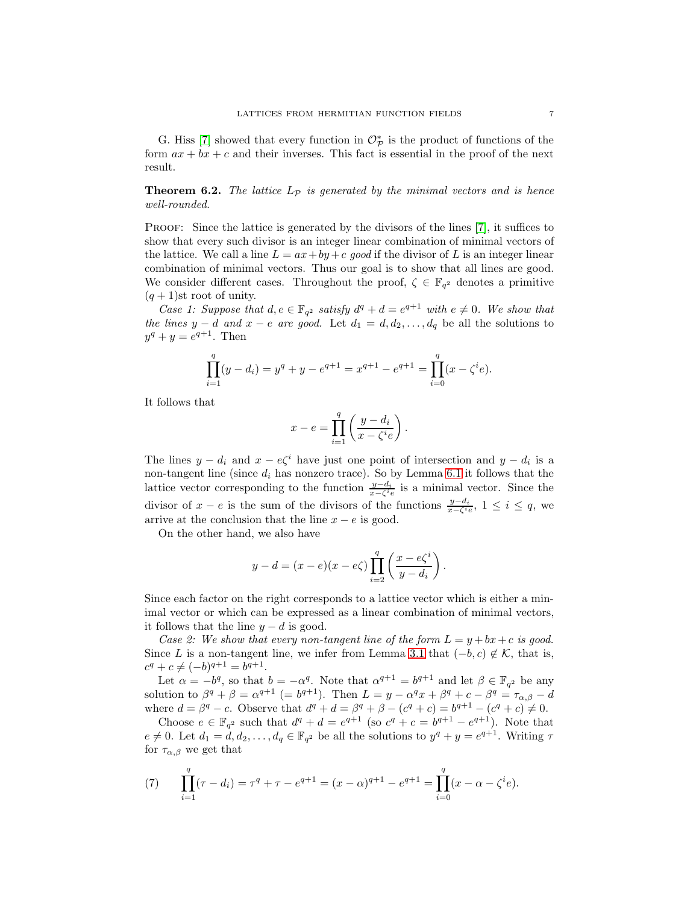G. Hiss [\[7\]](#page-15-12) showed that every function in  $\mathcal{O}_{\mathcal{P}}^{*}$  is the product of functions of the form  $ax + bx + c$  and their inverses. This fact is essential in the proof of the next result.

**Theorem 6.2.** The lattice  $L_p$  is generated by the minimal vectors and is hence *well-rounded.*

Proof: Since the lattice is generated by the divisors of the lines [\[7\]](#page-15-12), it suffices to show that every such divisor is an integer linear combination of minimal vectors of the lattice. We call a line  $L = ax + by + c$  good if the divisor of L is an integer linear combination of minimal vectors. Thus our goal is to show that all lines are good. We consider different cases. Throughout the proof,  $\zeta \in \mathbb{F}_{q^2}$  denotes a primitive  $(q + 1)$ st root of unity.

*Case 1: Suppose that*  $d, e \in \mathbb{F}_{q^2}$  *satisfy*  $d^q + d = e^{q+1}$  *with*  $e \neq 0$ *. We show that the lines*  $y - d$  *and*  $x - e$  *are good.* Let  $d_1 = d, d_2, \ldots, d_q$  be all the solutions to  $y^{q} + y = e^{q+1}$ . Then

$$
\prod_{i=1}^{q} (y - d_i) = y^q + y - e^{q+1} = x^{q+1} - e^{q+1} = \prod_{i=0}^{q} (x - \zeta^i e).
$$

It follows that

$$
x - e = \prod_{i=1}^{q} \left( \frac{y - d_i}{x - \zeta^i e} \right).
$$

The lines  $y - d_i$  and  $x - e\zeta^i$  have just one point of intersection and  $y - d_i$  is a non-tangent line (since  $d_i$  has nonzero trace). So by Lemma [6.1](#page-6-2) it follows that the lattice vector corresponding to the function  $\frac{y-d_i}{x-\zeta^i e}$  is a minimal vector. Since the divisor of  $x - e$  is the sum of the divisors of the functions  $\frac{y-d_i}{x-\zeta^i e}$ ,  $1 \leq i \leq q$ , we arrive at the conclusion that the line  $x - e$  is good.

On the other hand, we also have

$$
y - d = (x - e)(x - e\zeta) \prod_{i=2}^{q} \left( \frac{x - e\zeta^i}{y - d_i} \right).
$$

Since each factor on the right corresponds to a lattice vector which is either a minimal vector or which can be expressed as a linear combination of minimal vectors, it follows that the line  $y - d$  is good.

*Case 2: We show that every non-tangent line of the form*  $L = y + bx + c$  *is good.* Since L is a non-tangent line, we infer from Lemma [3.1](#page-4-2) that  $(-b, c) \notin \mathcal{K}$ , that is,  $c^q + c \neq (-b)^{q+1} = b^{q+1}.$ 

Let  $\alpha = -b^q$ , so that  $b = -\alpha^q$ . Note that  $\alpha^{q+1} = b^{q+1}$  and let  $\beta \in \mathbb{F}_{q^2}$  be any solution to  $\beta^q + \beta = \alpha^{q+1}$  (=  $b^{q+1}$ ). Then  $L = y - \alpha^q x + \beta^q + c - \beta^q = \tau_{\alpha,\beta} - d$ where  $d = \beta^q - c$ . Observe that  $d^q + d = \beta^q + \beta - (c^q + c) = b^{q+1} - (c^q + c) \neq 0$ .

Choose  $e \in \mathbb{F}_{q^2}$  such that  $d^q + d = e^{q+1}$  (so  $c^q + c = b^{q+1} - e^{q+1}$ ). Note that  $e \neq 0$ . Let  $d_1 = d, d_2, \ldots, d_q \in \mathbb{F}_{q^2}$  be all the solutions to  $y^q + y = e^{q+1}$ . Writing  $\tau$ for  $\tau_{\alpha,\beta}$  we get that

<span id="page-7-0"></span>(7) 
$$
\prod_{i=1}^{q} (\tau - d_i) = \tau^q + \tau - e^{q+1} = (x - \alpha)^{q+1} - e^{q+1} = \prod_{i=0}^{q} (x - \alpha - \zeta^i e).
$$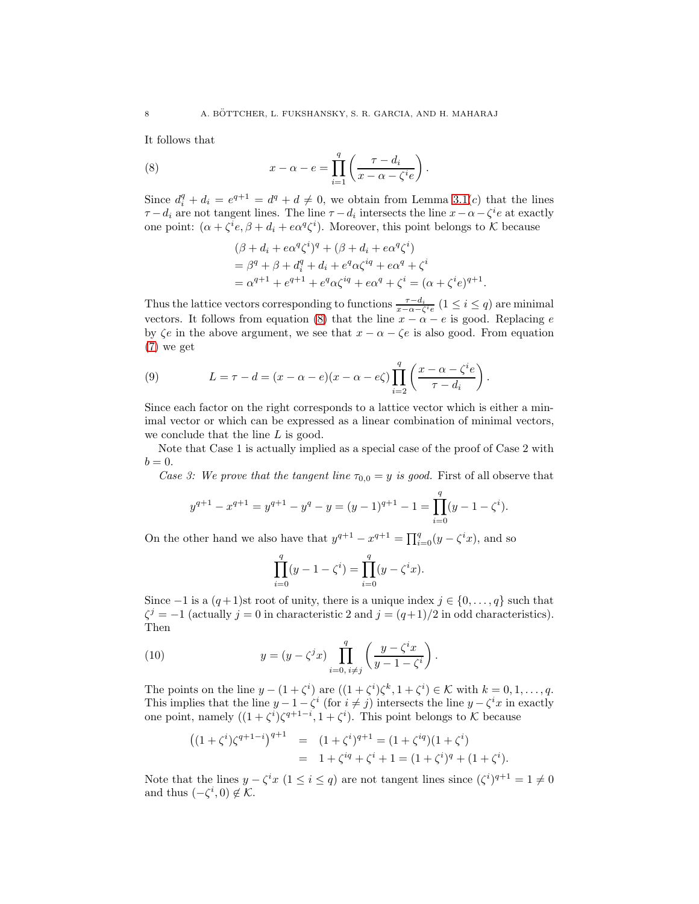It follows that

(8) 
$$
x - \alpha - e = \prod_{i=1}^{q} \left( \frac{\tau - d_i}{x - \alpha - \zeta^i e} \right).
$$

Since  $d_i^q + d_i = e^{q+1} = d^q + d \neq 0$ , we obtain from Lemma [3.1\(](#page-4-2)c) that the lines  $\tau - d_i$  are not tangent lines. The line  $\tau - d_i$  intersects the line  $x - \alpha - \zeta^i e$  at exactly one point:  $(\alpha + \zeta^i e, \beta + d_i + e\alpha^q \zeta^i)$ . Moreover, this point belongs to K because

<span id="page-8-0"></span>
$$
(\beta + d_i + e\alpha^q \zeta^i)^q + (\beta + d_i + e\alpha^q \zeta^i)
$$
  
=  $\beta^q + \beta + d_i^q + d_i + e^q \alpha \zeta^{iq} + e\alpha^q + \zeta^i$   
=  $\alpha^{q+1} + e^{q+1} + e^q \alpha \zeta^{iq} + e\alpha^q + \zeta^i = (\alpha + \zeta^i e)^{q+1}.$ 

Thus the lattice vectors corresponding to functions  $\frac{\tau - d_i}{x - \alpha - \zeta^i e}$  (1 ≤ *i* ≤ *q*) are minimal vectors. It follows from equation [\(8\)](#page-8-0) that the line  $x - \alpha - e$  is good. Replacing e by  $\zeta e$  in the above argument, we see that  $x - \alpha - \zeta e$  is also good. From equation [\(7\)](#page-7-0) we get

(9) 
$$
L = \tau - d = (x - \alpha - e)(x - \alpha - e\zeta) \prod_{i=2}^{q} \left( \frac{x - \alpha - \zeta^i e}{\tau - d_i} \right).
$$

Since each factor on the right corresponds to a lattice vector which is either a minimal vector or which can be expressed as a linear combination of minimal vectors, we conclude that the line L is good.

Note that Case 1 is actually implied as a special case of the proof of Case 2 with  $b=0.$ 

*Case 3: We prove that the tangent line*  $\tau_{0,0} = y$  *is good.* First of all observe that

$$
y^{q+1} - x^{q+1} = y^{q+1} - y^q - y = (y-1)^{q+1} - 1 = \prod_{i=0}^{q} (y-1-\zeta^i).
$$

On the other hand we also have that  $y^{q+1} - x^{q+1} = \prod_{i=0}^{q} (y - \zeta^i x)$ , and so

<span id="page-8-1"></span>
$$
\prod_{i=0}^{q} (y - 1 - \zeta^{i}) = \prod_{i=0}^{q} (y - \zeta^{i} x).
$$

Since  $-1$  is a  $(q+1)$ st root of unity, there is a unique index  $j \in \{0, \ldots, q\}$  such that  $\zeta^j = -1$  (actually  $j = 0$  in characteristic 2 and  $j = (q+1)/2$  in odd characteristics). Then

(10) 
$$
y = (y - \zeta^{j} x) \prod_{i=0, i \neq j}^{q} \left( \frac{y - \zeta^{i} x}{y - 1 - \zeta^{i}} \right).
$$

The points on the line  $y - (1 + \zeta^i)$  are  $((1 + \zeta^i)\zeta^k, 1 + \zeta^i) \in \mathcal{K}$  with  $k = 0, 1, ..., q$ . This implies that the line  $y - 1 - \zeta^i$  (for  $i \neq j$ ) intersects the line  $y - \zeta^i x$  in exactly one point, namely  $((1+\zeta^i)\zeta^{q+1-i}, 1+\zeta^i)$ . This point belongs to K because

$$
((1+\zeta^i)\zeta^{q+1-i})^{q+1} = (1+\zeta^i)^{q+1} = (1+\zeta^{iq})(1+\zeta^i)
$$
  
= 1+\zeta^{iq} + \zeta^i + 1 = (1+\zeta^i)^q + (1+\zeta^i).

Note that the lines  $y - \zeta^i x$   $(1 \leq i \leq q)$  are not tangent lines since  $(\zeta^i)^{q+1} = 1 \neq 0$ and thus  $(-\zeta^i, 0) \notin \mathcal{K}$ .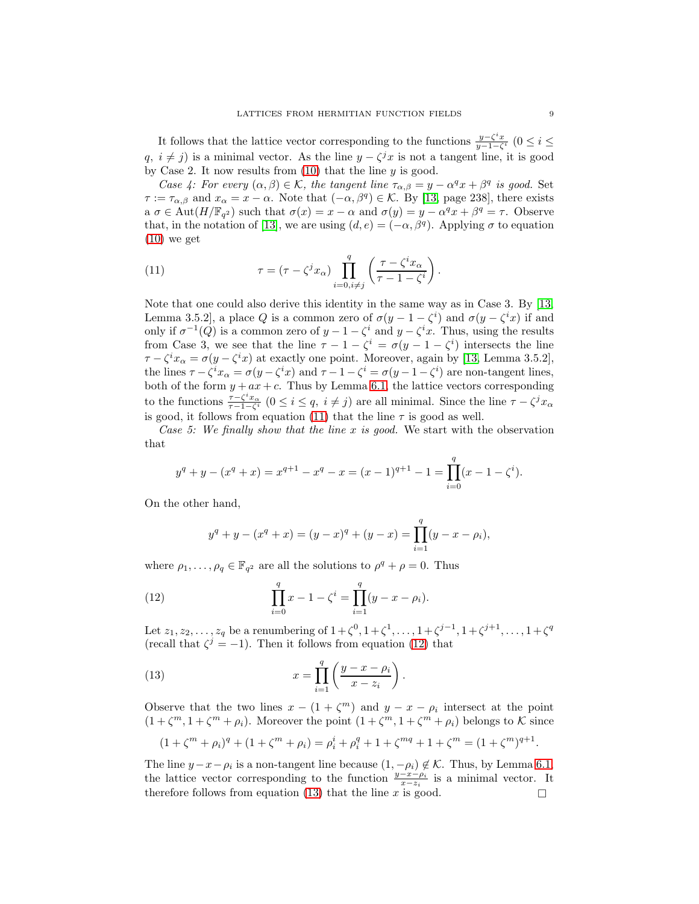It follows that the lattice vector corresponding to the functions  $\frac{y-\zeta^ix}{y-1-\zeta^i}$  (0 ≤ i ≤  $q, i \neq j$ ) is a minimal vector. As the line  $y - \zeta^j x$  is not a tangent line, it is good by Case 2. It now results from  $(10)$  that the line y is good.

*Case 4: For every*  $(\alpha, \beta) \in \mathcal{K}$ , the tangent line  $\tau_{\alpha,\beta} = y - \alpha^q x + \beta^q$  is good. Set  $\tau := \tau_{\alpha,\beta}$  and  $x_{\alpha} = x - \alpha$ . Note that  $(-\alpha,\beta^q) \in \mathcal{K}$ . By [\[13,](#page-15-5) page 238], there exists  $a \sigma \in \text{Aut}(H/\mathbb{F}_{q^2})$  such that  $\sigma(x) = x - \alpha$  and  $\sigma(y) = y - \alpha^q x + \beta^q = \tau$ . Observe that, in the notation of [\[13\]](#page-15-5), we are using  $(d, e) = (-\alpha, \beta^q)$ . Applying  $\sigma$  to equation  $(10)$  we get

<span id="page-9-0"></span>(11) 
$$
\tau = (\tau - \zeta^j x_\alpha) \prod_{i=0, i \neq j}^q \left( \frac{\tau - \zeta^i x_\alpha}{\tau - 1 - \zeta^i} \right).
$$

Note that one could also derive this identity in the same way as in Case 3. By [\[13,](#page-15-5) Lemma 3.5.2], a place Q is a common zero of  $\sigma(y-1-\zeta^i)$  and  $\sigma(y-\zeta^ix)$  if and only if  $\sigma^{-1}(Q)$  is a common zero of  $y - 1 - \zeta^i$  and  $y - \zeta^i x$ . Thus, using the results from Case 3, we see that the line  $\tau - 1 - \zeta^i = \sigma(y - 1 - \zeta^i)$  intersects the line  $\tau - \zeta^i x_\alpha = \sigma(y - \zeta^i x)$  at exactly one point. Moreover, again by [\[13,](#page-15-5) Lemma 3.5.2], the lines  $\tau - \zeta^i x_\alpha = \sigma(y - \zeta^i x)$  and  $\tau - 1 - \zeta^i = \sigma(y - 1 - \zeta^i)$  are non-tangent lines, both of the form  $y + ax + c$ . Thus by Lemma [6.1,](#page-6-2) the lattice vectors corresponding to the functions  $\frac{\tau - \zeta^i x_\alpha}{\tau - 1 - \zeta^i}$   $(0 \le i \le q, i \ne j)$  are all minimal. Since the line  $\tau - \zeta^j x_\alpha$ is good, it follows from equation [\(11\)](#page-9-0) that the line  $\tau$  is good as well.

*Case 5: We finally show that the line* x *is good.* We start with the observation that

$$
y^{q} + y - (x^{q} + x) = x^{q+1} - x^{q} - x = (x - 1)^{q+1} - 1 = \prod_{i=0}^{q} (x - 1 - \zeta^{i}).
$$

On the other hand,

<span id="page-9-1"></span>
$$
y^{q} + y - (x^{q} + x) = (y - x)^{q} + (y - x) = \prod_{i=1}^{q} (y - x - \rho_{i}),
$$

where  $\rho_1, \ldots, \rho_q \in \mathbb{F}_{q^2}$  are all the solutions to  $\rho^q + \rho = 0$ . Thus

(12) 
$$
\prod_{i=0}^{q} x - 1 - \zeta^{i} = \prod_{i=1}^{q} (y - x - \rho_{i}).
$$

Let  $z_1, z_2, \ldots, z_q$  be a renumbering of  $1 + \zeta^0, 1 + \zeta^1, \ldots, 1 + \zeta^{j-1}, 1 + \zeta^{j+1}, \ldots, 1 + \zeta^q$ (recall that  $\zeta^j = -1$ ). Then it follows from equation [\(12\)](#page-9-1) that

<span id="page-9-2"></span>(13) 
$$
x = \prod_{i=1}^{q} \left( \frac{y - x - \rho_i}{x - z_i} \right).
$$

Observe that the two lines  $x - (1 + \zeta^m)$  and  $y - x - \rho_i$  intersect at the point  $(1 + \zeta^m, 1 + \zeta^m + \rho_i)$ . Moreover the point  $(1 + \zeta^m, 1 + \zeta^m + \rho_i)$  belongs to K since

$$
(1 + \zeta^m + \rho_i)^q + (1 + \zeta^m + \rho_i) = \rho_i^i + \rho_i^q + 1 + \zeta^{mq} + 1 + \zeta^m = (1 + \zeta^m)^{q+1}.
$$

The line  $y-x-\rho_i$  is a non-tangent line because  $(1, -\rho_i) \notin \mathcal{K}$ . Thus, by Lemma [6.1,](#page-6-2) the lattice vector corresponding to the function  $\frac{y-x-\rho_i}{x-z_i}$  is a minimal vector. It therefore follows from equation [\(13\)](#page-9-2) that the line x is good.  $\square$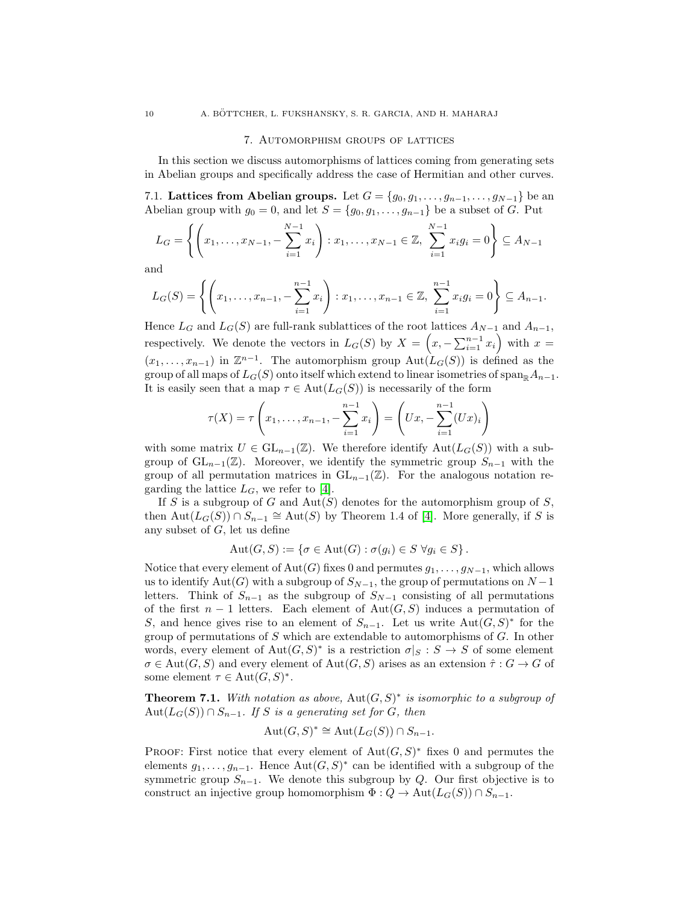#### 7. Automorphism groups of lattices

In this section we discuss automorphisms of lattices coming from generating sets in Abelian groups and specifically address the case of Hermitian and other curves.

7.1. Lattices from Abelian groups. Let  $G = \{g_0, g_1, \ldots, g_{n-1}, \ldots, g_{N-1}\}\$  be an Abelian group with  $g_0 = 0$ , and let  $S = \{g_0, g_1, \ldots, g_{n-1}\}\)$  be a subset of G. Put

$$
L_G = \left\{ \left( x_1, \dots, x_{N-1}, -\sum_{i=1}^{N-1} x_i \right) : x_1, \dots, x_{N-1} \in \mathbb{Z}, \sum_{i=1}^{N-1} x_i g_i = 0 \right\} \subseteq A_{N-1}
$$

and

$$
L_G(S) = \left\{ \left( x_1, \ldots, x_{n-1}, -\sum_{i=1}^{n-1} x_i \right) : x_1, \ldots, x_{n-1} \in \mathbb{Z}, \sum_{i=1}^{n-1} x_i g_i = 0 \right\} \subseteq A_{n-1}.
$$

Hence  $L_G$  and  $L_G(S)$  are full-rank sublattices of the root lattices  $A_{N-1}$  and  $A_{n-1}$ , respectively. We denote the vectors in  $L_G(S)$  by  $X = \left(x, -\sum_{i=1}^{n-1} x_i\right)$  with  $x =$  $(x_1, \ldots, x_{n-1})$  in  $\mathbb{Z}^{n-1}$ . The automorphism group  $\text{Aut}(\mathcal{L}_G(S))$  is defined as the group of all maps of  $L_G(S)$  onto itself which extend to linear isometries of span<sub>R</sub> $A_{n-1}$ . It is easily seen that a map  $\tau \in \text{Aut}(L_G(S))$  is necessarily of the form

$$
\tau(X) = \tau\left(x_1, \dots, x_{n-1}, -\sum_{i=1}^{n-1} x_i\right) = \left(Ux, -\sum_{i=1}^{n-1} (Ux)_i\right)
$$

with some matrix  $U \in GL_{n-1}(\mathbb{Z})$ . We therefore identify  $Aut(L_G(S))$  with a subgroup of  $GL_{n-1}(\mathbb{Z})$ . Moreover, we identify the symmetric group  $S_{n-1}$  with the group of all permutation matrices in  $GL_{n-1}(\mathbb{Z})$ . For the analogous notation regarding the lattice  $L_G$ , we refer to [\[4\]](#page-15-7).

If S is a subgroup of G and  $Aut(S)$  denotes for the automorphism group of S, then  $\text{Aut}(L_G(S)) \cap S_{n-1} \cong \text{Aut}(S)$  by Theorem 1.4 of [\[4\]](#page-15-7). More generally, if S is any subset of  $G$ , let us define

$$
Aut(G, S) := \{ \sigma \in Aut(G) : \sigma(g_i) \in S \; \forall g_i \in S \}.
$$

Notice that every element of Aut(G) fixes 0 and permutes  $g_1, \ldots, g_{N-1}$ , which allows us to identify Aut(G) with a subgroup of  $S_{N-1}$ , the group of permutations on  $N-1$ letters. Think of  $S_{n-1}$  as the subgroup of  $S_{N-1}$  consisting of all permutations of the first  $n-1$  letters. Each element of Aut $(G, S)$  induces a permutation of S, and hence gives rise to an element of  $S_{n-1}$ . Let us write Aut $(G, S)^*$  for the group of permutations of S which are extendable to automorphisms of G. In other words, every element of  $Aut(G, S)^*$  is a restriction  $\sigma|_S : S \to S$  of some element  $\sigma \in \text{Aut}(G, S)$  and every element of  $\text{Aut}(G, S)$  arises as an extension  $\hat{\tau}: G \to G$  of some element  $\tau \in \text{Aut}(G, S)^*$ .

<span id="page-10-1"></span>**Theorem 7.1.** With notation as above,  $Aut(G, S)^*$  is isomorphic to a subgroup of  $Aut(L_G(S)) \cap S_{n-1}$ *. If* S *is a generating set for* G, then

$$
Aut(G, S)^* \cong Aut(L_G(S)) \cap S_{n-1}.
$$

PROOF: First notice that every element of  $Aut(G, S)^*$  fixes 0 and permutes the elements  $g_1, \ldots, g_{n-1}$ . Hence  $Aut(G, S)^*$  can be identified with a subgroup of the symmetric group  $S_{n-1}$ . We denote this subgroup by Q. Our first objective is to construct an injective group homomorphism  $\Phi: Q \to \text{Aut}(L_G(S)) \cap S_{n-1}$ .

<span id="page-10-0"></span>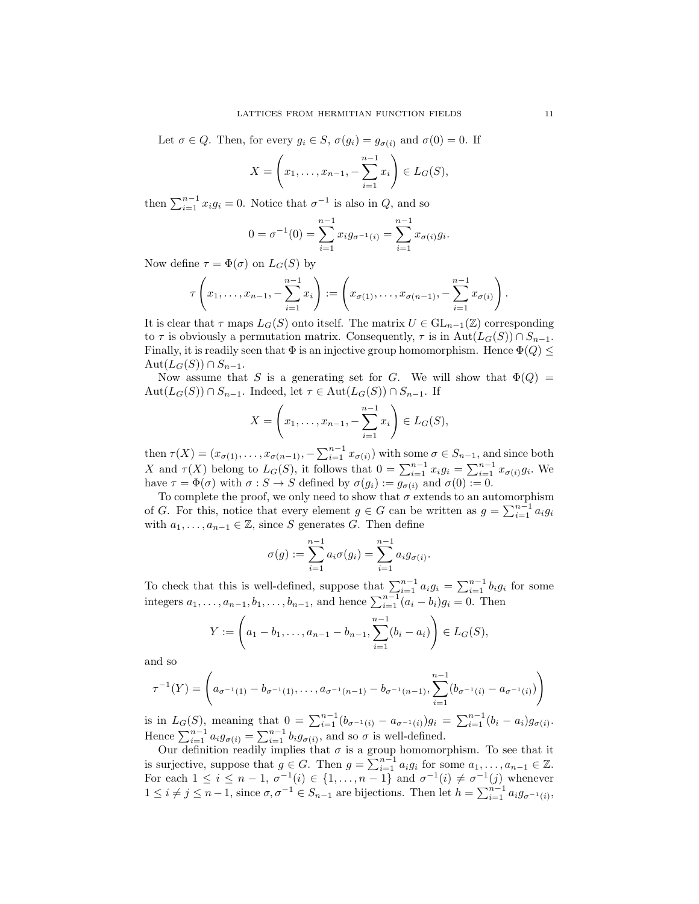Let  $\sigma \in Q$ . Then, for every  $g_i \in S$ ,  $\sigma(g_i) = g_{\sigma(i)}$  and  $\sigma(0) = 0$ . If

$$
X = \left(x_1, \dots, x_{n-1}, -\sum_{i=1}^{n-1} x_i\right) \in L_G(S),
$$

then  $\sum_{i=1}^{n-1} x_i g_i = 0$ . Notice that  $\sigma^{-1}$  is also in  $Q$ , and so

$$
0 = \sigma^{-1}(0) = \sum_{i=1}^{n-1} x_i g_{\sigma^{-1}(i)} = \sum_{i=1}^{n-1} x_{\sigma(i)} g_i.
$$

Now define  $\tau = \Phi(\sigma)$  on  $L_G(S)$  by

$$
\tau\left(x_1,\ldots,x_{n-1},-\sum_{i=1}^{n-1}x_i\right):=\left(x_{\sigma(1)},\ldots,x_{\sigma(n-1)},-\sum_{i=1}^{n-1}x_{\sigma(i)}\right).
$$

It is clear that  $\tau$  maps  $L_G(S)$  onto itself. The matrix  $U \in GL_{n-1}(\mathbb{Z})$  corresponding to  $\tau$  is obviously a permutation matrix. Consequently,  $\tau$  is in Aut $(L_G(S)) \cap S_{n-1}$ . Finally, it is readily seen that  $\Phi$  is an injective group homomorphism. Hence  $\Phi(Q) \leq$  $\mathrm{Aut}(L_G(S)) \cap S_{n-1}.$ 

Now assume that S is a generating set for G. We will show that  $\Phi(Q)$  =  $Aut(L_G(S)) \cap S_{n-1}$ . Indeed, let  $\tau \in Aut(L_G(S)) \cap S_{n-1}$ . If

$$
X = \left(x_1, \dots, x_{n-1}, -\sum_{i=1}^{n-1} x_i\right) \in L_G(S),
$$

then  $\tau(X) = (x_{\sigma(1)}, \ldots, x_{\sigma(n-1)}, -\sum_{i=1}^{n-1} x_{\sigma(i)})$  with some  $\sigma \in S_{n-1}$ , and since both X and  $\tau(X)$  belong to  $L_G(S)$ , it follows that  $0 = \sum_{i=1}^{n-1} x_i g_i = \sum_{i=1}^{n-1} x_{\sigma(i)} g_i$ . We have  $\tau = \Phi(\sigma)$  with  $\sigma : S \to S$  defined by  $\sigma(g_i) := g_{\sigma(i)}$  and  $\sigma(0) := 0$ .

To complete the proof, we only need to show that  $\sigma$  extends to an automorphism of G. For this, notice that every element  $g \in G$  can be written as  $g = \sum_{i=1}^{n-1} a_i g_i$ with  $a_1, \ldots, a_{n-1} \in \mathbb{Z}$ , since S generates G. Then define

$$
\sigma(g) := \sum_{i=1}^{n-1} a_i \sigma(g_i) = \sum_{i=1}^{n-1} a_i g_{\sigma(i)}.
$$

To check that this is well-defined, suppose that  $\sum_{i=1}^{n-1} a_i g_i = \sum_{i=1}^{n-1} b_i g_i$  for some integers  $a_1, ..., a_{n-1}, b_1, ..., b_{n-1}$ , and hence  $\sum_{i=1}^{n-1} (a_i - b_i)g_i = 0$ . Then

$$
Y := \left(a_1 - b_1, \dots, a_{n-1} - b_{n-1}, \sum_{i=1}^{n-1} (b_i - a_i)\right) \in L_G(S),
$$

and so

$$
\tau^{-1}(Y) = \left(a_{\sigma^{-1}(1)} - b_{\sigma^{-1}(1)}, \dots, a_{\sigma^{-1}(n-1)} - b_{\sigma^{-1}(n-1)}, \sum_{i=1}^{n-1} (b_{\sigma^{-1}(i)} - a_{\sigma^{-1}(i)})\right)
$$

is in  $L_G(S)$ , meaning that  $0 = \sum_{i=1}^{n-1} (b_{\sigma^{-1}(i)} - a_{\sigma^{-1}(i)}) g_i = \sum_{i=1}^{n-1} (b_i - a_i) g_{\sigma(i)}$ . Hence  $\sum_{i=1}^{n-1} a_i g_{\sigma(i)} = \sum_{i=1}^{n-1} b_i g_{\sigma(i)}$ , and so  $\sigma$  is well-defined.

Our definition readily implies that  $\sigma$  is a group homomorphism. To see that it is surjective, suppose that  $g \in G$ . Then  $g = \sum_{i=1}^{n-1} a_i g_i$  for some  $a_1, \ldots, a_{n-1} \in \mathbb{Z}$ . For each  $1 \leq i \leq n-1$ ,  $\sigma^{-1}(i) \in \{1, \ldots, n-1\}$  and  $\sigma^{-1}(i) \neq \sigma^{-1}(j)$  whenever  $1 \leq i \neq j \leq n-1$ , since  $\sigma, \sigma^{-1} \in S_{n-1}$  are bijections. Then let  $h = \sum_{i=1}^{n-1} a_i g_{\sigma^{-1}(i)}$ ,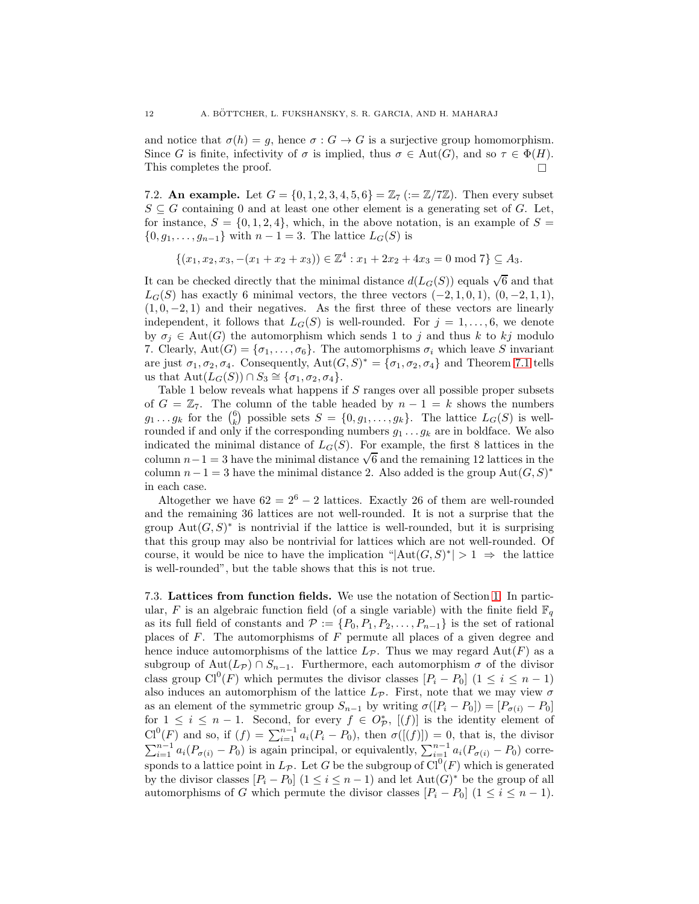and notice that  $\sigma(h) = g$ , hence  $\sigma : G \to G$  is a surjective group homomorphism. Since G is finite, infectivity of  $\sigma$  is implied, thus  $\sigma \in Aut(G)$ , and so  $\tau \in \Phi(H)$ .<br>This completes the proof. This completes the proof.

7.2. An example. Let  $G = \{0, 1, 2, 3, 4, 5, 6\} = \mathbb{Z}_7 \ (:= \mathbb{Z}/7\mathbb{Z})$ . Then every subset  $S \subseteq G$  containing 0 and at least one other element is a generating set of G. Let, for instance,  $S = \{0, 1, 2, 4\}$ , which, in the above notation, is an example of  $S =$  $\{0, g_1, \ldots, g_{n-1}\}\$  with  $n-1=3$ . The lattice  $L_G(S)$  is

$$
\{(x_1, x_2, x_3, -(x_1 + x_2 + x_3)) \in \mathbb{Z}^4 : x_1 + 2x_2 + 4x_3 = 0 \text{ mod } 7\} \subseteq A_3.
$$

It can be checked directly that the minimal distance  $d(L_G(S))$  equals  $\sqrt{6}$  and that  $L_G(S)$  has exactly 6 minimal vectors, the three vectors  $(-2, 1, 0, 1), (0, -2, 1, 1),$  $(1, 0, -2, 1)$  and their negatives. As the first three of these vectors are linearly independent, it follows that  $L_G(S)$  is well-rounded. For  $j = 1, \ldots, 6$ , we denote by  $\sigma_i \in \text{Aut}(G)$  the automorphism which sends 1 to j and thus k to kj modulo 7. Clearly,  $Aut(G) = {\sigma_1, \ldots, \sigma_6}$ . The automorphisms  $\sigma_i$  which leave S invariant are just  $\sigma_1, \sigma_2, \sigma_4$ . Consequently,  $Aut(G, S)^* = {\sigma_1, \sigma_2, \sigma_4}$  and Theorem [7.1](#page-10-1) tells us that  $\text{Aut}(L_G(S)) \cap S_3 \cong {\sigma_1, \sigma_2, \sigma_4}.$ 

Table 1 below reveals what happens if  $S$  ranges over all possible proper subsets of  $G = \mathbb{Z}_7$ . The column of the table headed by  $n - 1 = k$  shows the numbers  $g_1 \ldots g_k$  for the  $\binom{6}{k}$  possible sets  $S = \{0, g_1, \ldots, g_k\}$ . The lattice  $L_G(S)$  is wellrounded if and only if the corresponding numbers  $g_1 \ldots g_k$  are in boldface. We also indicated the minimal distance of  $L_G(S)$ . For example, the first 8 lattices in the column  $n-1 = 3$  have the minimal distance  $\sqrt{6}$  and the remaining 12 lattices in the column  $n-1=3$  have the minimal distance 2. Also added is the group  $\text{Aut}(G, S)^*$ in each case.

Altogether we have  $62 = 2^6 - 2$  lattices. Exactly 26 of them are well-rounded and the remaining 36 lattices are not well-rounded. It is not a surprise that the group  $Aut(G, S)^*$  is nontrivial if the lattice is well-rounded, but it is surprising that this group may also be nontrivial for lattices which are not well-rounded. Of course, it would be nice to have the implication " $|\text{Aut}(G, S)^*| > 1 \Rightarrow$  the lattice is well-rounded", but the table shows that this is not true.

7.3. Lattices from function fields. We use the notation of Section [1.](#page-1-0) In particular, F is an algebraic function field (of a single variable) with the finite field  $\mathbb{F}_q$ as its full field of constants and  $\mathcal{P} := \{P_0, P_1, P_2, \ldots, P_{n-1}\}$  is the set of rational places of  $F$ . The automorphisms of  $F$  permute all places of a given degree and hence induce automorphisms of the lattice  $L_{\mathcal{P}}$ . Thus we may regard  $\text{Aut}(F)$  as a subgroup of Aut $(L_{\mathcal{P}}) \cap S_{n-1}$ . Furthermore, each automorphism  $\sigma$  of the divisor class group  $Cl^0(F)$  which permutes the divisor classes  $[P_i - P_0]$   $(1 \leq i \leq n-1)$ also induces an automorphism of the lattice  $L_{\mathcal{P}}$ . First, note that we may view  $\sigma$ as an element of the symmetric group  $S_{n-1}$  by writing  $\sigma([P_i - P_0]) = [P_{\sigma(i)} - P_0]$ for  $1 \leq i \leq n-1$ . Second, for every  $f \in O_{\mathcal{P}}^{*}$ ,  $[(f)]$  is the identity element of  $Cl^{0}(F)$  and so, if  $(f) = \sum_{i=1}^{n-1} a_i (P_i - P_0)$ , then  $\sigma([[f)]) = 0$ , that is, the divisor  $\sum_{i=1}^{n-1} a_i (P_{\sigma(i)} - P_0)$  is again principal, or equivalently,  $\sum_{i=1}^{n-1} a_i (P_{\sigma(i)} - P_0)$  corresponds to a lattice point in  $L_{\mathcal{P}}$ . Let G be the subgroup of  $\text{Cl}^0(F)$  which is generated by the divisor classes  $[P_i - P_0]$   $(1 \leq i \leq n-1)$  and let  $\text{Aut}(G)^*$  be the group of all automorphisms of G which permute the divisor classes  $[P_i - P_0]$   $(1 \le i \le n - 1)$ .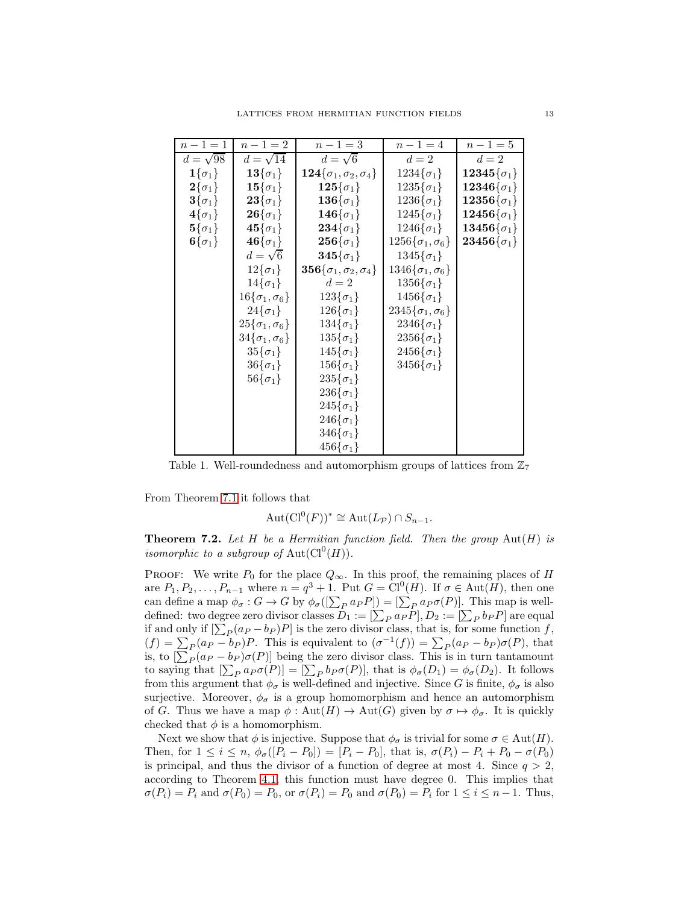| $n - 1 = 1$              | $n - 1 = 2$               | $n - 1 = 3$                                        | $n - 1 = 4$                 | $n - 1 = 5$                    |
|--------------------------|---------------------------|----------------------------------------------------|-----------------------------|--------------------------------|
| $d=\sqrt{98}$            | $d=\sqrt{14}$             | $d=\sqrt{6}$                                       | $d=2$                       | $d=2$                          |
| $1\{\sigma_1\}$          | ${\bf 13}\{\sigma_1\}$    | $\mathbf{124}\{\sigma_1, \sigma_2, \sigma_4\}$     | $1234\{\sigma_1\}$          | $12345\{\sigma_1\}$            |
| $\mathbf{2}\{\sigma_1\}$ | $\mathbf{15}\{\sigma_1\}$ | $125\{\sigma_1\}$                                  | $1235\{\sigma_1\}$          | $12346\{\sigma_1\}$            |
| $3\{\sigma_1\}$          | ${\bf 23}\{\sigma_1\}$    | ${\bf 136}\{\sigma_1\}$                            | $1236\{\sigma_1\}$          | $\textbf{12356}\{\sigma_{1}\}$ |
| $4\{\sigma_1\}$          | ${\bf 26}\{\sigma_1\}$    | $\mathbf{146}\{\sigma_1\}$                         | $1245\{\sigma_1\}$          | $12456\{\sigma_1\}$            |
| $\mathbf{5}\{\sigma_1\}$ | $45\{\sigma_1\}$          | $234\{\sigma_1\}$                                  | $1246\{\sigma_1\}$          | $13456\{\sigma_1\}$            |
| $6\{\sigma_1\}$          | ${\bf 46}\{\sigma_1\}$    | $\mathbf{256}\{\sigma_1\}$                         | $1256\{\sigma_1,\sigma_6\}$ | $\mathbf{23456}\{\sigma_1\}$   |
|                          | $d=\sqrt{6}$              | $345\{\sigma_1\}$                                  | $1345\{\sigma_1\}$          |                                |
|                          | $12\{\sigma_1\}$          | $\overline{\bf 356}\{\sigma_1,\sigma_2,\sigma_4\}$ | $1346\{\sigma_1,\sigma_6\}$ |                                |
|                          | $14\{\sigma_1\}$          | $d=2$                                              | $1356{\{\sigma_1\}}$        |                                |
|                          | $16\{\sigma_1,\sigma_6\}$ | $123\{\sigma_1\}$                                  | $1456\{\sigma_1\}$          |                                |
|                          | $24\{\sigma_1\}$          | $126\{\sigma_1\}$                                  | $2345\{\sigma_1,\sigma_6\}$ |                                |
|                          | $25\{\sigma_1,\sigma_6\}$ | $134\{\sigma_1\}$                                  | $2346\{\sigma_1\}$          |                                |
|                          | $34\{\sigma_1,\sigma_6\}$ | $135\{\sigma_1\}$                                  | $2356 {\sigma_1}$           |                                |
|                          | $35\{\sigma_1\}$          | $145\{\sigma_1\}$                                  | $2456\{\sigma_1\}$          |                                |
|                          | $36\{\sigma_1\}$          | $156\{\sigma_1\}$                                  | $3456\{\sigma_1\}$          |                                |
|                          | $56\{\sigma_1\}$          | $235\{\sigma_1\}$                                  |                             |                                |
|                          |                           | $236\{\sigma_1\}$                                  |                             |                                |
|                          |                           | $245\{\sigma_1\}$                                  |                             |                                |
|                          |                           | $246\{\sigma_1\}$                                  |                             |                                |
|                          |                           | $346\{\sigma_1\}$                                  |                             |                                |
|                          |                           | $456\{\sigma_1\}$                                  |                             |                                |

Table 1. Well-roundedness and automorphism groups of lattices from  $\mathbb{Z}_7$ 

From Theorem [7.1](#page-10-1) it follows that

$$
Aut(Cl^{0}(F))^{*} \cong Aut(L_{\mathcal{P}}) \cap S_{n-1}.
$$

<span id="page-13-0"></span>**Theorem 7.2.** Let  $H$  be a Hermitian function field. Then the group  $\text{Aut}(H)$  is *isomorphic to a subgroup of*  $Aut(Cl^0(H))$ *.* 

PROOF: We write  $P_0$  for the place  $Q_{\infty}$ . In this proof, the remaining places of H are  $P_1, P_2, \ldots, P_{n-1}$  where  $n = q^3 + 1$ . Put  $G = Cl^0(H)$ . If  $\sigma \in Aut(H)$ , then one can define a map  $\phi_{\sigma}: G \to G$  by  $\phi_{\sigma}([\sum_{P} a_{P} P]) = [\sum_{P} a_{P} \sigma(P)].$  This map is welldefined: two degree zero divisor classes  $D_1 := [\sum_P a_P P], D_2 := [\sum_P b_P P]$  are equal if and only if  $[\sum_{P} (a_P - b_P)P]$  is the zero divisor class, that is, for some function f,  $(f) = \sum_{P} (a_P - b_P) P$ . This is equivalent to  $(\sigma^{-1}(f)) = \sum_{P} (a_P - b_P) \sigma(P)$ , that is, to  $[\sum_{P}(a_{P} - b_{P})\sigma(P)]$  being the zero divisor class. This is in turn tantamount to saying that  $[\sum_P a_P \sigma(P)] = [\sum_P b_P \sigma(P)],$  that is  $\phi_\sigma(D_1) = \phi_\sigma(D_2)$ . It follows from this argument that  $\phi_{\sigma}$  is well-defined and injective. Since G is finite,  $\phi_{\sigma}$  is also surjective. Moreover,  $\phi_{\sigma}$  is a group homomorphism and hence an automorphism of G. Thus we have a map  $\phi : \text{Aut}(H) \to \text{Aut}(G)$  given by  $\sigma \mapsto \phi_{\sigma}$ . It is quickly checked that  $\phi$  is a homomorphism.

Next we show that  $\phi$  is injective. Suppose that  $\phi_{\sigma}$  is trivial for some  $\sigma \in \text{Aut}(H)$ . Then, for  $1 \le i \le n$ ,  $\phi_{\sigma}([P_i - P_0]) = [P_i - P_0]$ , that is,  $\sigma(P_i) - P_i + P_0 - \sigma(P_0)$ is principal, and thus the divisor of a function of degree at most 4. Since  $q > 2$ , according to Theorem [4.1,](#page-5-1) this function must have degree 0. This implies that  $\sigma(P_i) = P_i$  and  $\sigma(P_0) = P_0$ , or  $\sigma(P_i) = P_0$  and  $\sigma(P_0) = P_i$  for  $1 \le i \le n-1$ . Thus,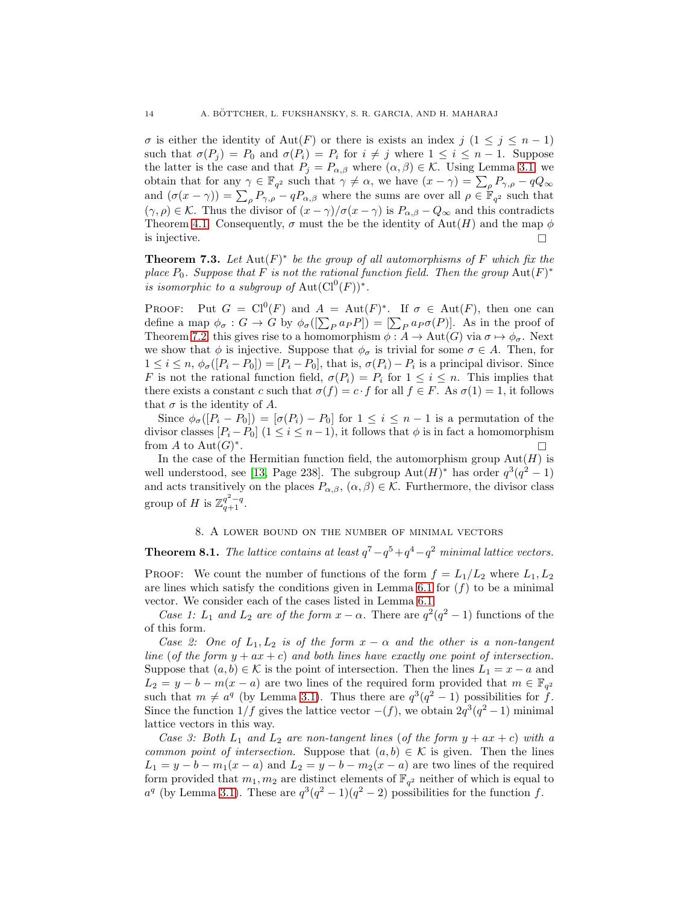$\sigma$  is either the identity of Aut(F) or there is exists an index j  $(1 \leq j \leq n-1)$ such that  $\sigma(P_i) = P_0$  and  $\sigma(P_i) = P_i$  for  $i \neq j$  where  $1 \leq i \leq n-1$ . Suppose the latter is the case and that  $P_j = P_{\alpha,\beta}$  where  $(\alpha,\beta) \in \mathcal{K}$ . Using Lemma [3.1,](#page-4-2) we obtain that for any  $\gamma \in \mathbb{F}_{q^2}$  such that  $\gamma \neq \alpha$ , we have  $(x - \gamma) = \sum_{\rho} P_{\gamma, \rho} - qQ_{\infty}$ and  $(\sigma(x-\gamma)) = \sum_{\rho} P_{\gamma,\rho} - qP_{\alpha,\beta}$  where the sums are over all  $\rho \in \mathbb{F}_{q^2}$  such that  $(\gamma, \rho) \in \mathcal{K}$ . Thus the divisor of  $(x - \gamma)/\sigma(x - \gamma)$  is  $P_{\alpha,\beta} - Q_{\infty}$  and this contradicts Theorem [4.1.](#page-5-1) Consequently,  $\sigma$  must the be the identity of  $\text{Aut}(H)$  and the map  $\phi$ is injective.

**Theorem 7.3.** Let  $\text{Aut}(F)^*$  be the group of all automorphisms of F which fix the *place*  $P_0$ *. Suppose that*  $F$  *is not the rational function field. Then the group*  $Aut(F)^*$ *is isomorphic to a subgroup of*  $Aut(Cl^0(F))^*$ .

**PROOF:** Put  $G = Cl^0(F)$  and  $A = Aut(F)^*$ . If  $\sigma \in Aut(F)$ , then one can define a map  $\phi_{\sigma} : G \to G$  by  $\phi_{\sigma}([\sum_P a_P P]) = [\sum_P a_P \sigma(P)]$ . As in the proof of Theorem [7.2,](#page-13-0) this gives rise to a homomorphism  $\phi : A \to \text{Aut}(G)$  via  $\sigma \mapsto \phi_{\sigma}$ . Next we show that  $\phi$  is injective. Suppose that  $\phi_{\sigma}$  is trivial for some  $\sigma \in A$ . Then, for  $1 \leq i \leq n$ ,  $\phi_{\sigma}([P_i - P_0]) = [P_i - P_0]$ , that is,  $\sigma(P_i) - P_i$  is a principal divisor. Since F is not the rational function field,  $\sigma(P_i) = P_i$  for  $1 \leq i \leq n$ . This implies that there exists a constant c such that  $\sigma(f) = c \cdot f$  for all  $f \in F$ . As  $\sigma(1) = 1$ , it follows that  $\sigma$  is the identity of A.

Since  $\phi_{\sigma}([P_i - P_0]) = [\sigma(P_i) - P_0]$  for  $1 \leq i \leq n-1$  is a permutation of the divisor classes  $[P_i - P_0]$   $(1 \leq i \leq n-1)$ , it follows that  $\phi$  is in fact a homomorphism from A to  $\text{Aut}(G)^*$ .

In the case of the Hermitian function field, the automorphism group  $Aut(H)$  is well understood, see [\[13,](#page-15-5) Page 238]. The subgroup  $Aut(H)^*$  has order  $q^3(q^2-1)$ and acts transitively on the places  $P_{\alpha,\beta}$ ,  $(\alpha,\beta) \in \mathcal{K}$ . Furthermore, the divisor class group of H is  $\mathbb{Z}_{q+1}^{q^2-q}$ .

## 8. A lower bound on the number of minimal vectors

<span id="page-14-1"></span><span id="page-14-0"></span>**Theorem 8.1.** *The lattice contains at least*  $q^7 - q^5 + q^4 - q^2$  *minimal lattice vectors.* 

PROOF: We count the number of functions of the form  $f = L_1/L_2$  where  $L_1, L_2$ are lines which satisfy the conditions given in Lemma [6.1](#page-6-2) for  $(f)$  to be a minimal vector. We consider each of the cases listed in Lemma [6.1.](#page-6-2)

*Case 1:*  $L_1$  *and*  $L_2$  *are of the form*  $x - \alpha$ . There are  $q^2(q^2 - 1)$  functions of the of this form.

*Case 2: One of*  $L_1, L_2$  *is of the form*  $x - \alpha$  *and the other is a non-tangent line* (*of the form*  $y + ax + c$ *) and both lines have exactly one point of intersection.* Suppose that  $(a, b) \in \mathcal{K}$  is the point of intersection. Then the lines  $L_1 = x - a$  and  $L_2 = y - b - m(x - a)$  are two lines of the required form provided that  $m \in \mathbb{F}_{q^2}$ such that  $m \neq a^q$  (by Lemma [3.1\)](#page-4-2). Thus there are  $q^3(q^2-1)$  possibilities for f. Since the function  $1/f$  gives the lattice vector  $-(f)$ , we obtain  $2q^3(q^2-1)$  minimal lattice vectors in this way.

*Case 3: Both*  $L_1$  *and*  $L_2$  *are non-tangent lines* (*of the form*  $y + ax + c$ ) *with* a *common point of intersection.* Suppose that  $(a, b) \in K$  is given. Then the lines  $L_1 = y - b - m_1(x - a)$  and  $L_2 = y - b - m_2(x - a)$  are two lines of the required form provided that  $m_1, m_2$  are distinct elements of  $\mathbb{F}_{q^2}$  neither of which is equal to  $a^q$  (by Lemma [3.1\)](#page-4-2). These are  $q^3(q^2-1)(q^2-2)$  possibilities for the function f.